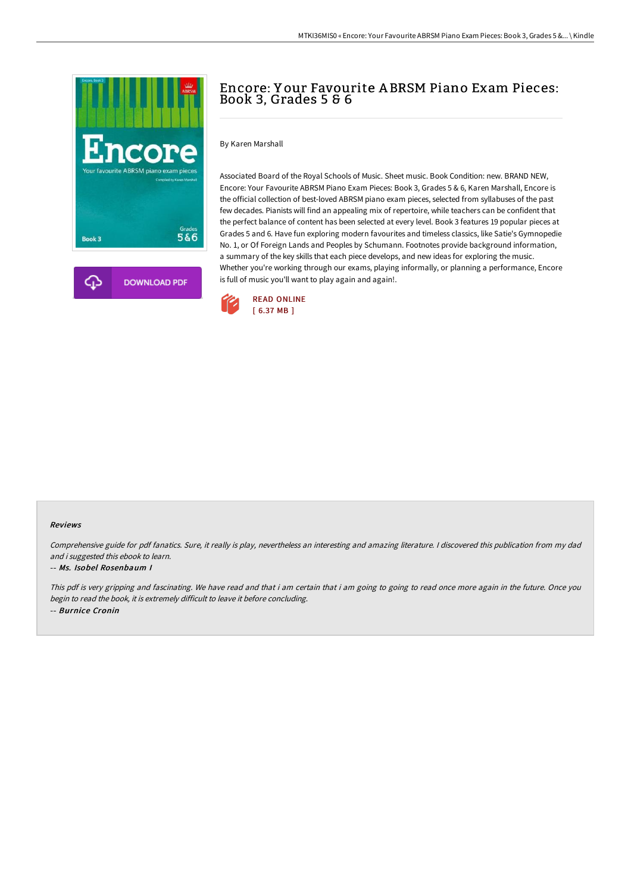

# Encore: Y our Favourite A BRSM Piano Exam Pieces: Book 3, Grades 5 & 6

By Karen Marshall

Associated Board of the Royal Schools of Music. Sheet music. Book Condition: new. BRAND NEW, Encore: Your Favourite ABRSM Piano Exam Pieces: Book 3, Grades 5 & 6, Karen Marshall, Encore is the official collection of best-loved ABRSM piano exam pieces, selected from syllabuses of the past few decades. Pianists will find an appealing mix of repertoire, while teachers can be confident that the perfect balance of content has been selected at every level. Book 3 features 19 popular pieces at Grades 5 and 6. Have fun exploring modern favourites and timeless classics, like Satie's Gymnopedie No. 1, or Of Foreign Lands and Peoples by Schumann. Footnotes provide background information, a summary of the key skills that each piece develops, and new ideas for exploring the music. Whether you're working through our exams, playing informally, or planning a performance, Encore is full of music you'll want to play again and again!.



### Reviews

Comprehensive guide for pdf fanatics. Sure, it really is play, nevertheless an interesting and amazing literature. <sup>I</sup> discovered this publication from my dad and i suggested this ebook to learn.

#### -- Ms. Isobel Rosenbaum I

This pdf is very gripping and fascinating. We have read and that i am certain that i am going to going to read once more again in the future. Once you begin to read the book, it is extremely difficult to leave it before concluding. -- Burnice Cronin